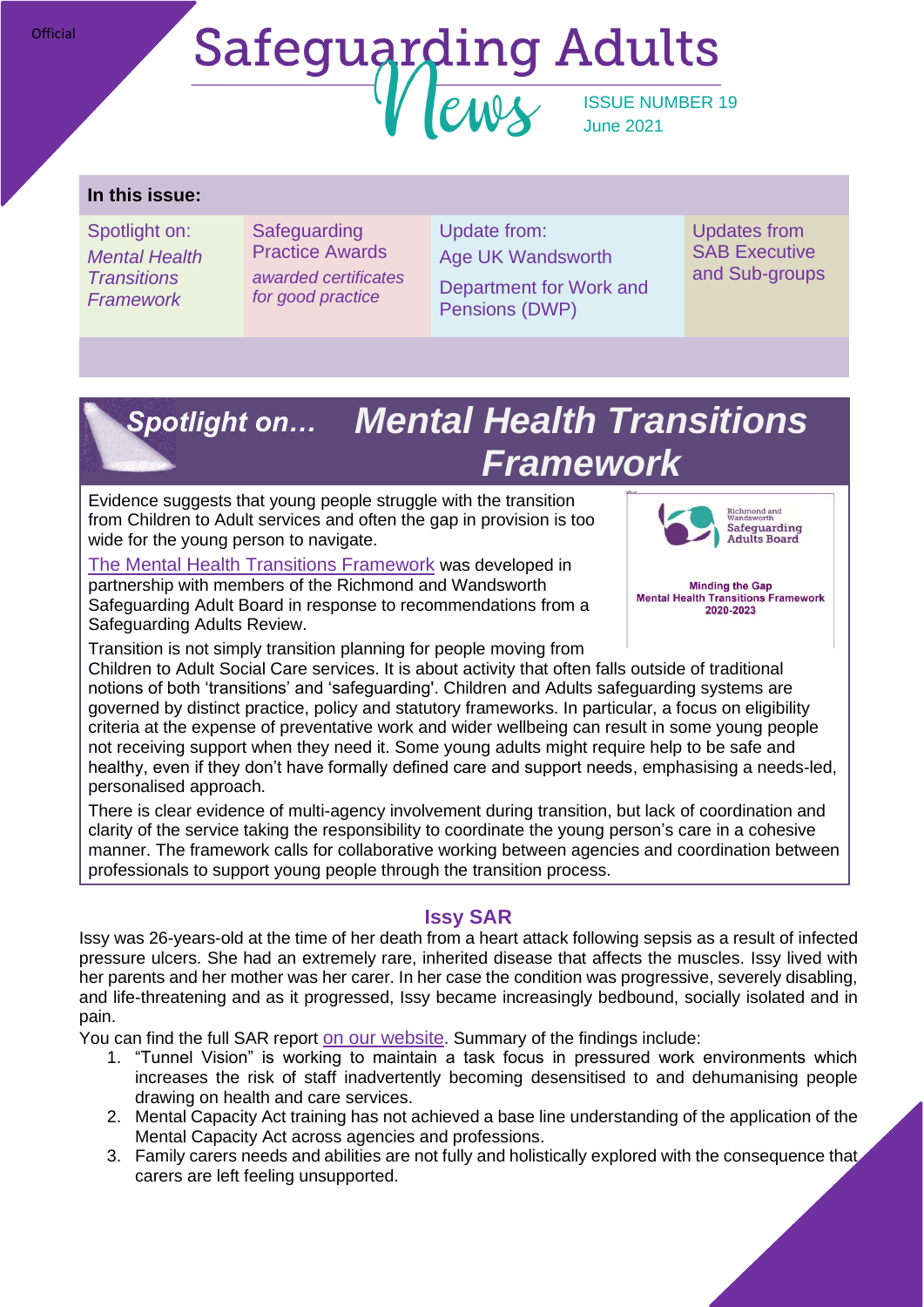## **Safeguarding Adults**  $PMIV$ ISSUE NUMBER 19 June 2021

#### **In this issue:**

Spotlight on: *Mental Health Transitions Framework*

**Safeguarding** Practice Awards *awarded certificates for good practice*

Update from: Age UK Wandsworth

Department for Work and Pensions (DWP)

Updates from **SAB Executive** and Sub-groups

# *Mental Health Transitions Spotlight on…Framework*

Evidence suggests that young people struggle with the transition from Children to Adult services and often the gap in provision is too wide for the young person to navigate.

[The Mental Health Transitions Framework](https://www.sabrichmondandwandsworth.org.uk/media/1449/mental_health_transitions_protocol.pdf) was developed in partnership with members of the Richmond and Wandsworth Safeguarding Adult Board in response to recommendations from a Safeguarding Adults Review.



**Minding the Gap Mental Health Transitions Framework** 2020-2023

Transition is not simply transition planning for people moving from

Children to Adult Social Care services. It is about activity that often falls outside of traditional notions of both 'transitions' and 'safeguarding'. Children and Adults safeguarding systems are governed by distinct practice, policy and statutory frameworks. In particular, a focus on eligibility criteria at the expense of preventative work and wider wellbeing can result in some young people not receiving support when they need it. Some young adults might require help to be safe and healthy, even if they don't have formally defined care and support needs, emphasising a needs-led, personalised approach.

There is clear evidence of multi-agency involvement during transition, but lack of coordination and clarity of the service taking the responsibility to coordinate the young person's care in a cohesive manner. The framework calls for collaborative working between agencies and coordination between professionals to support young people through the transition process.

## **Issy SAR**

Issy was 26-years-old at the time of her death from a heart attack following sepsis as a result of infected pressure ulcers. She had an extremely rare, inherited disease that affects the muscles. Issy lived with her parents and her mother was her carer. In her case the condition was progressive, severely disabling, and life-threatening and as it progressed, Issy became increasingly bedbound, socially isolated and in pain.

You can find the full SAR report [on our website](https://www.sabrichmondandwandsworth.org.uk/safeguarding-adult-reviews/#reports). Summary of the findings include:

- 1. "Tunnel Vision" is working to maintain a task focus in pressured work environments which increases the risk of staff inadvertently becoming desensitised to and dehumanising people drawing on health and care services.
- 2. Mental Capacity Act training has not achieved a base line understanding of the application of the Mental Capacity Act across agencies and professions.
- 3. Family carers needs and abilities are not fully and holistically explored with the consequence that carers are left feeling unsupported.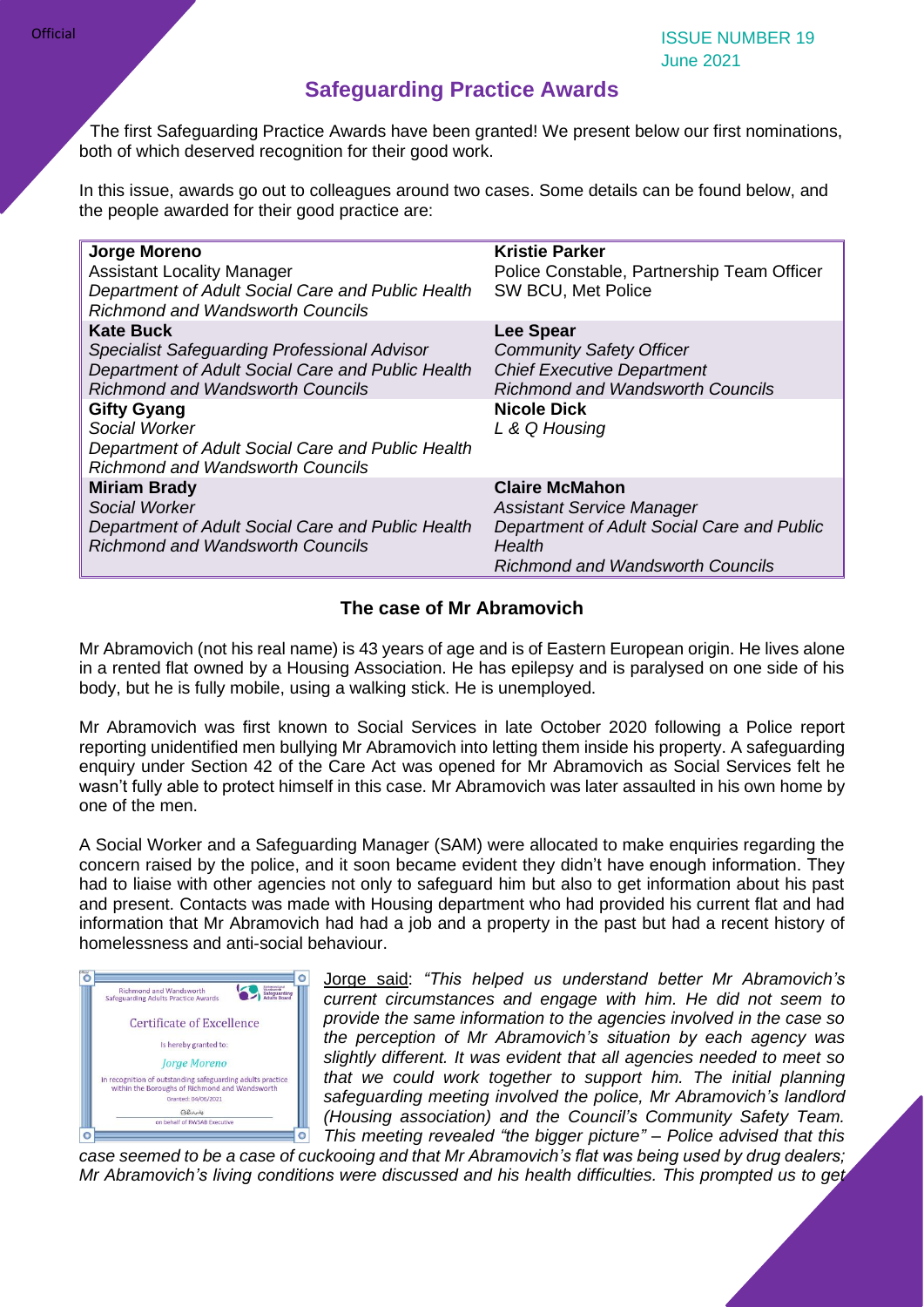ISSUE NUMBER 19 June 2021

#### **Safeguarding Practice Awards**

The first Safeguarding Practice Awards have been granted! We present below our first nominations, both of which deserved recognition for their good work.

In this issue, awards go out to colleagues around two cases. Some details can be found below, and the people awarded for their good practice are:

| Jorge Moreno<br><b>Assistant Locality Manager</b><br>Department of Adult Social Care and Public Health<br><b>Richmond and Wandsworth Councils</b>                                                                                                                                                              | <b>Kristie Parker</b><br>Police Constable, Partnership Team Officer<br>SW BCU, Met Police                                                                                  |
|----------------------------------------------------------------------------------------------------------------------------------------------------------------------------------------------------------------------------------------------------------------------------------------------------------------|----------------------------------------------------------------------------------------------------------------------------------------------------------------------------|
| <b>Kate Buck</b><br><b>Specialist Safeguarding Professional Advisor</b><br>Department of Adult Social Care and Public Health<br><b>Richmond and Wandsworth Councils</b><br><b>Gifty Gyang</b><br>Social Worker<br>Department of Adult Social Care and Public Health<br><b>Richmond and Wandsworth Councils</b> | <b>Lee Spear</b><br><b>Community Safety Officer</b><br><b>Chief Executive Department</b><br><b>Richmond and Wandsworth Councils</b><br><b>Nicole Dick</b><br>L & Q Housing |
| <b>Miriam Brady</b><br>Social Worker<br>Department of Adult Social Care and Public Health<br><b>Richmond and Wandsworth Councils</b>                                                                                                                                                                           | <b>Claire McMahon</b><br><b>Assistant Service Manager</b><br>Department of Adult Social Care and Public<br>Health<br><b>Richmond and Wandsworth Councils</b>               |

#### **The case of Mr Abramovich**

Mr Abramovich (not his real name) is 43 years of age and is of Eastern European origin. He lives alone in a rented flat owned by a Housing Association. He has epilepsy and is paralysed on one side of his body, but he is fully mobile, using a walking stick. He is unemployed.

Mr Abramovich was first known to Social Services in late October 2020 following a Police report reporting unidentified men bullying Mr Abramovich into letting them inside his property. A safeguarding enquiry under Section 42 of the Care Act was opened for Mr Abramovich as Social Services felt he wasn't fully able to protect himself in this case. Mr Abramovich was later assaulted in his own home by one of the men.

A Social Worker and a Safeguarding Manager (SAM) were allocated to make enquiries regarding the concern raised by the police, and it soon became evident they didn't have enough information. They had to liaise with other agencies not only to safeguard him but also to get information about his past and present. Contacts was made with Housing department who had provided his current flat and had information that Mr Abramovich had had a job and a property in the past but had a recent history of homelessness and anti-social behaviour.



Jorge said: *"This helped us understand better Mr Abramovich's current circumstances and engage with him. He did not seem to provide the same information to the agencies involved in the case so the perception of Mr Abramovich's situation by each agency was slightly different. It was evident that all agencies needed to meet so that we could work together to support him. The initial planning safeguarding meeting involved the police, Mr Abramovich's landlord (Housing association) and the Council's Community Safety Team. This meeting revealed "the bigger picture" – Police advised that this* 

*case seemed to be a case of cuckooing and that Mr Abramovich's flat was being used by drug dealers; Mr Abramovich's living conditions were discussed and his health difficulties. This prompted us to get*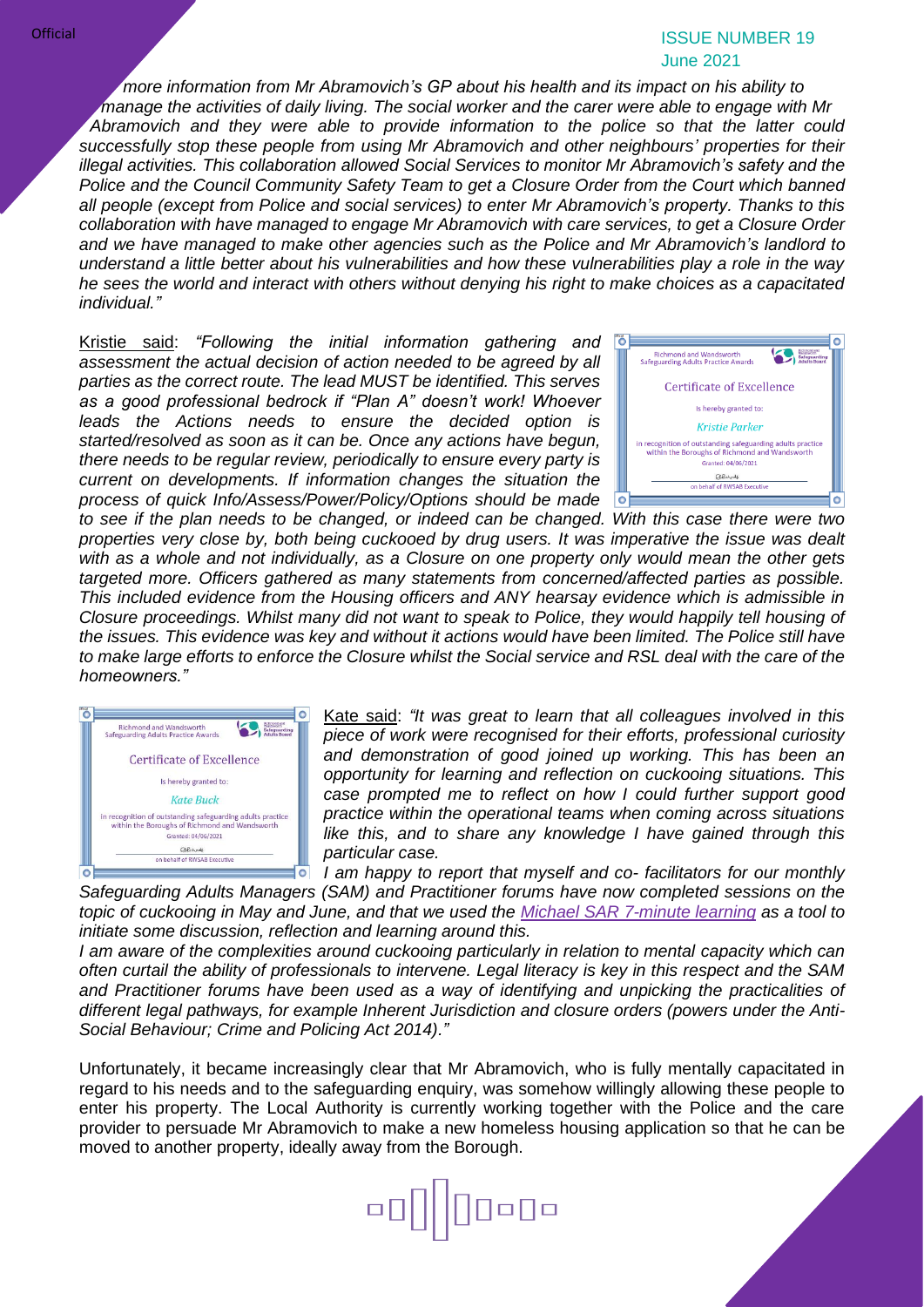#### ISSUE NUMBER 19 June 2021

*more information from Mr Abramovich's GP about his health and its impact on his ability to manage the activities of daily living. The social worker and the carer were able to engage with Mr Abramovich and they were able to provide information to the police so that the latter could successfully stop these people from using Mr Abramovich and other neighbours' properties for their illegal activities. This collaboration allowed Social Services to monitor Mr Abramovich's safety and the Police and the Council Community Safety Team to get a Closure Order from the Court which banned all people (except from Police and social services) to enter Mr Abramovich's property. Thanks to this collaboration with have managed to engage Mr Abramovich with care services, to get a Closure Order and we have managed to make other agencies such as the Police and Mr Abramovich's landlord to understand a little better about his vulnerabilities and how these vulnerabilities play a role in the way he sees the world and interact with others without denying his right to make choices as a capacitated individual."*

Kristie said: *"Following the initial information gathering and assessment the actual decision of action needed to be agreed by all parties as the correct route. The lead MUST be identified. This serves as a good professional bedrock if "Plan A" doesn't work! Whoever leads the Actions needs to ensure the decided option is started/resolved as soon as it can be. Once any actions have begun, there needs to be regular review, periodically to ensure every party is current on developments. If information changes the situation the process of quick Info/Assess/Power/Policy/Options should be made* 



*to see if the plan needs to be changed, or indeed can be changed. With this case there were two properties very close by, both being cuckooed by drug users. It was imperative the issue was dealt with as a whole and not individually, as a Closure on one property only would mean the other gets targeted more. Officers gathered as many statements from concerned/affected parties as possible. This included evidence from the Housing officers and ANY hearsay evidence which is admissible in Closure proceedings. Whilst many did not want to speak to Police, they would happily tell housing of the issues. This evidence was key and without it actions would have been limited. The Police still have to make large efforts to enforce the Closure whilst the Social service and RSL deal with the care of the homeowners."*



Kate said: *"It was great to learn that all colleagues involved in this piece of work were recognised for their efforts, professional curiosity and demonstration of good joined up working. This has been an opportunity for learning and reflection on cuckooing situations. This case prompted me to reflect on how I could further support good practice within the operational teams when coming across situations like this, and to share any knowledge I have gained through this particular case.* 

*I am happy to report that myself and co- facilitators for our monthly*   $\bullet$ *Safeguarding Adults Managers (SAM) and Practitioner forums have now completed sessions on the topic of cuckooing in May and June, and that we used the [Michael SAR 7-minute learning](https://www.sabrichmondandwandsworth.org.uk/media/1483/7_minute_learning_michael.pdf) as a tool to initiate some discussion, reflection and learning around this.*

*I am aware of the complexities around cuckooing particularly in relation to mental capacity which can often curtail the ability of professionals to intervene. Legal literacy is key in this respect and the SAM and Practitioner forums have been used as a way of identifying and unpicking the practicalities of different legal pathways, for example Inherent Jurisdiction and closure orders (powers under the Anti-Social Behaviour; Crime and Policing Act 2014)."*

Unfortunately, it became increasingly clear that Mr Abramovich, who is fully mentally capacitated in regard to his needs and to the safeguarding enquiry, was somehow willingly allowing these people to enter his property. The Local Authority is currently working together with the Police and the care provider to persuade Mr Abramovich to make a new homeless housing application so that he can be moved to another property, ideally away from the Borough.

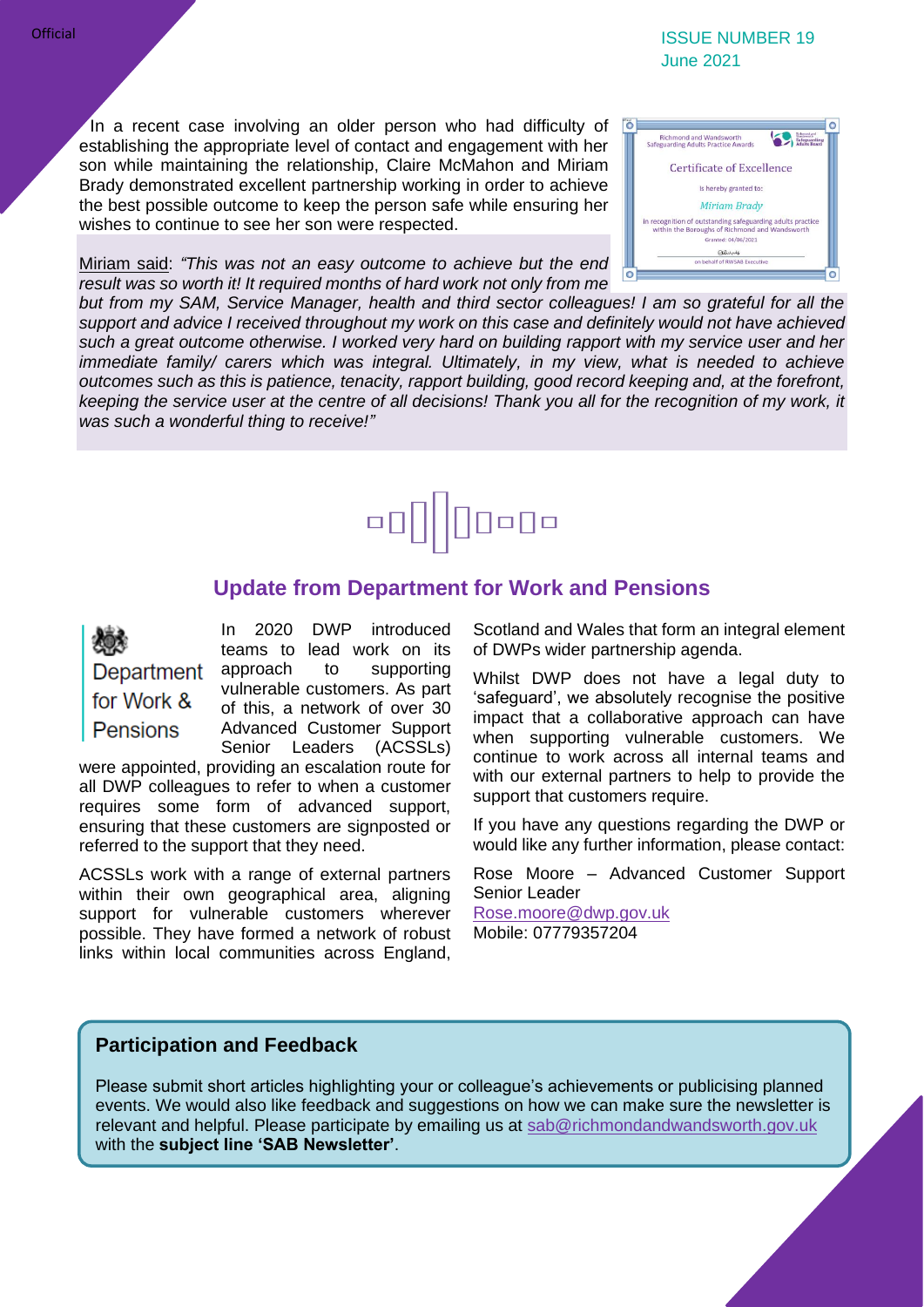#### ISSUE NUMBER 19 June 2021

In a recent case involving an older person who had difficulty of establishing the appropriate level of contact and engagement with her son while maintaining the relationship, Claire McMahon and Miriam Brady demonstrated excellent partnership working in order to achieve the best possible outcome to keep the person safe while ensuring her wishes to continue to see her son were respected.

Miriam said: *"This was not an easy outcome to achieve but the end result was so worth it! It required months of hard work not only from me* 



*but from my SAM, Service Manager, health and third sector colleagues! I am so grateful for all the support and advice I received throughout my work on this case and definitely would not have achieved such a great outcome otherwise. I worked very hard on building rapport with my service user and her immediate family/ carers which was integral. Ultimately, in my view, what is needed to achieve outcomes such as this is patience, tenacity, rapport building, good record keeping and, at the forefront, keeping the service user at the centre of all decisions! Thank you all for the recognition of my work, it was such a wonderful thing to receive!"*



#### **Update from Department for Work and Pensions**

Department for Work & **Pensions** 

In 2020 DWP introduced teams to lead work on its approach to supporting vulnerable customers. As part of this, a network of over 30 Advanced Customer Support Senior Leaders (ACSSLs)

were appointed, providing an escalation route for all DWP colleagues to refer to when a customer requires some form of advanced support, ensuring that these customers are signposted or referred to the support that they need.

ACSSLs work with a range of external partners within their own geographical area, aligning support for vulnerable customers wherever possible. They have formed a network of robust links within local communities across England,

Scotland and Wales that form an integral element of DWPs wider partnership agenda.

Whilst DWP does not have a legal duty to 'safeguard', we absolutely recognise the positive impact that a collaborative approach can have when supporting vulnerable customers. We continue to work across all internal teams and with our external partners to help to provide the support that customers require.

If you have any questions regarding the DWP or would like any further information, please contact:

Rose Moore – Advanced Customer Support Senior Leader

[Rose.moore@dwp.gov.uk](mailto:Rose.moore@dwp.gov.uk) Mobile: 07779357204

#### **Participation and Feedback**

Please submit short articles highlighting your or colleague's achievements or publicising planned events. We would also like feedback and suggestions on how we can make sure the newsletter is relevant and helpful. Please participate by emailing us at [sab@richmondandwandsworth.gov.uk](mailto:sab@richmondandwandsworth.gov.uk) with the **subject line 'SAB Newsletter'**.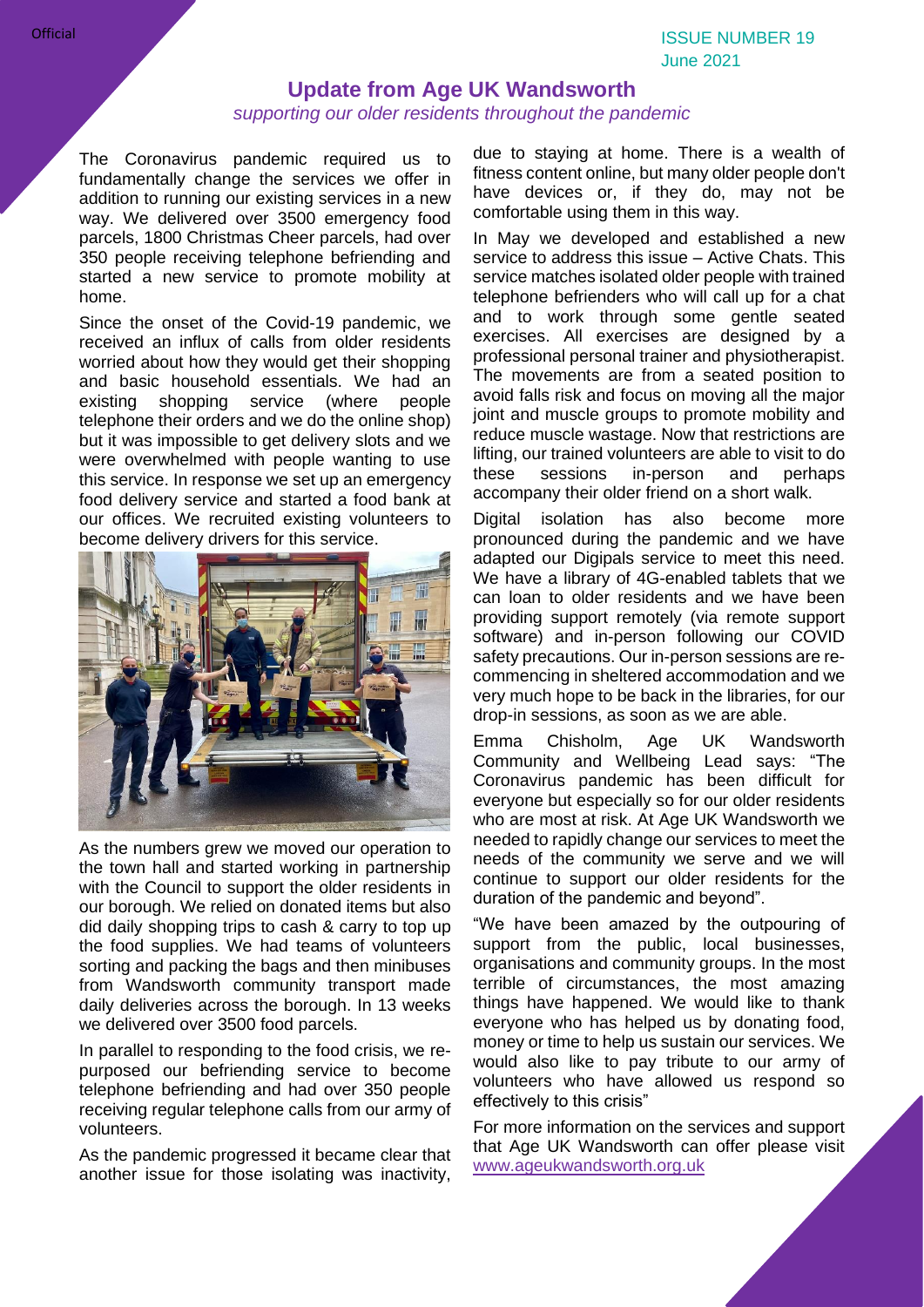#### **Update from Age UK Wandsworth**

#### *supporting our older residents throughout the pandemic*

The Coronavirus pandemic required us to fundamentally change the services we offer in addition to running our existing services in a new way. We delivered over 3500 emergency food parcels, 1800 Christmas Cheer parcels, had over 350 people receiving telephone befriending and started a new service to promote mobility at home.

Since the onset of the Covid-19 pandemic, we received an influx of calls from older residents worried about how they would get their shopping and basic household essentials. We had an existing shopping service (where people existing shopping service (where people telephone their orders and we do the online shop) but it was impossible to get delivery slots and we were overwhelmed with people wanting to use this service. In response we set up an emergency food delivery service and started a food bank at our offices. We recruited existing volunteers to become delivery drivers for this service.



As the numbers grew we moved our operation to the town hall and started working in partnership with the Council to support the older residents in our borough. We relied on donated items but also did daily shopping trips to cash & carry to top up the food supplies. We had teams of volunteers sorting and packing the bags and then minibuses from Wandsworth community transport made daily deliveries across the borough. In 13 weeks we delivered over 3500 food parcels.

In parallel to responding to the food crisis, we repurposed our befriending service to become telephone befriending and had over 350 people receiving regular telephone calls from our army of volunteers.

As the pandemic progressed it became clear that another issue for those isolating was inactivity,

due to staying at home. There is a wealth of fitness content online, but many older people don't have devices or, if they do, may not be comfortable using them in this way.

In May we developed and established a new service to address this issue – Active Chats. This service matches isolated older people with trained telephone befrienders who will call up for a chat and to work through some gentle seated exercises. All exercises are designed by a professional personal trainer and physiotherapist. The movements are from a seated position to avoid falls risk and focus on moving all the major joint and muscle groups to promote mobility and reduce muscle wastage. Now that restrictions are lifting, our trained volunteers are able to visit to do these sessions in-person and perhaps accompany their older friend on a short walk.

Digital isolation has also become more pronounced during the pandemic and we have adapted our Digipals service to meet this need. We have a library of 4G-enabled tablets that we can loan to older residents and we have been providing support remotely (via remote support software) and in-person following our COVID safety precautions. Our in-person sessions are recommencing in sheltered accommodation and we very much hope to be back in the libraries, for our drop-in sessions, as soon as we are able.

Emma Chisholm, Age UK Wandsworth Community and Wellbeing Lead says: "The Coronavirus pandemic has been difficult for everyone but especially so for our older residents who are most at risk. At Age UK Wandsworth we needed to rapidly change our services to meet the needs of the community we serve and we will continue to support our older residents for the duration of the pandemic and beyond".

"We have been amazed by the outpouring of support from the public, local businesses, organisations and community groups. In the most terrible of circumstances, the most amazing things have happened. We would like to thank everyone who has helped us by donating food, money or time to help us sustain our services. We would also like to pay tribute to our army of volunteers who have allowed us respond so effectively to this crisis"

For more information on the services and support that Age UK Wandsworth can offer please visit [www.ageukwandsworth.org.uk](http://www.ageukwandsworth.org.uk/)